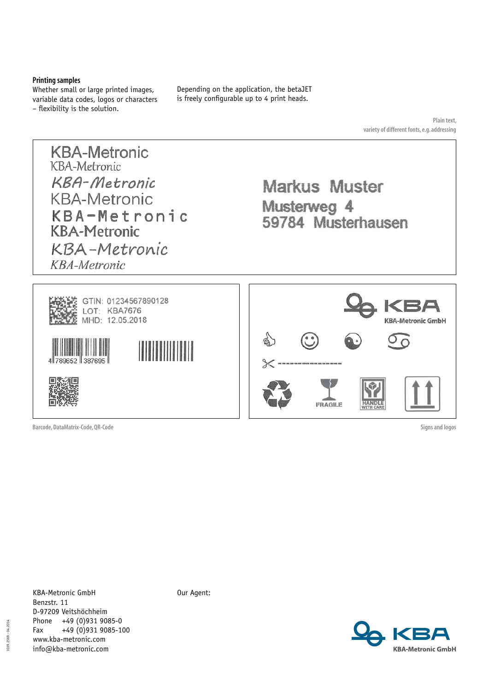### **Printing samples**

Whether small or large printed images, variable data codes, logos or characters – flexibility is the solution.

Depending on the application, the betaJET is freely configurable up to 4 print heads.

> **Plain text, variety of different fonts, e.g. addressing**



**Barcode, DataMatrix-Code, QR-Code**

**Signs and logos**

1039.2569 - 04.2014  $-04.2014$ 1039.2569

KBA-Metronic GmbH Benzstr. 11 D-97209 Veitshöchheim Phone +49 (0)931 9085-0 Fax  $+49(0)9319085-100$ www.kba-metronic.com info@kba-metronic.com

Our Agent:

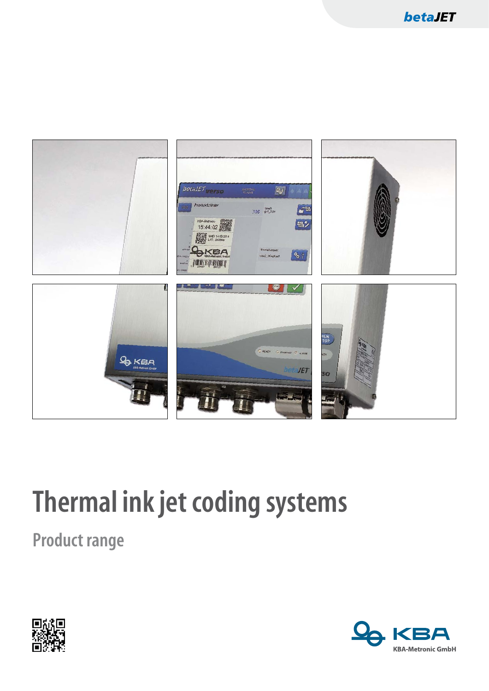

# **Thermal ink jet coding systems**

**Product range** 



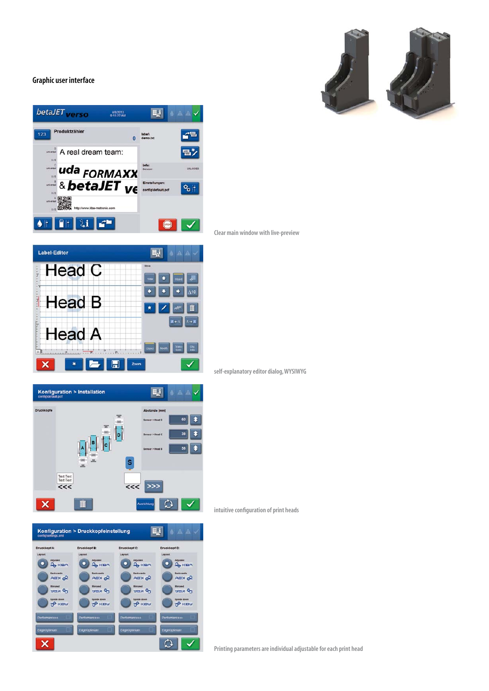## **Graphic user interface**









 $\overline{\mathbf{B}^{\mathbf{j}}}$ 

Absti

 $<<$ 

 $\rightarrow$ 

 $\circ$ 

A A

 $18$ 

Konfiguration > Installation

Text Text<br>Text Text  $<<$ 

 $\overline{\mathsf{x}}$ 

**self-explanatory editor dialog, WYSIWYG**

**intuitive configuration of print heads**

| IJ<br><b>AAV</b><br>Konfiguration > Druckkopfeinstellung<br>configisettings xml |                                    |                                    |                                     |
|---------------------------------------------------------------------------------|------------------------------------|------------------------------------|-------------------------------------|
| Druckkopf A:                                                                    | Druckkopf B:                       | Druckkopf C:                       | Druckkopf D:                        |
| Layout                                                                          | Layout                             | Layout                             | Layout                              |
| Adjusted<br>$Q_{\rm B}$ KBA                                                     | Adjusted<br>$Q2$ KBA               | Adjusted<br>$Q2$ KBA               | Adjusted<br>$Qb$ KBA                |
| <b>Backwards</b><br>$AB \times BC$                                              | <b>Rackwards</b><br>$AB \times A$  | <b>Backwards</b><br>$AB \times B$  | <b>Backwards</b><br>$AB \times B$   |
| <b>Islandered</b><br><b>ABY GPA</b>                                             | Minnered<br><b>ABY GRA</b>         | <b>Minnored</b><br><b>ABY GRA</b>  | <b>Minnored</b><br><b>PO</b> KBA    |
| <b>Upside down</b><br><b>PO KBA</b>                                             | <b>Unaide down</b><br><b>P KBU</b> | <b>Unside down</b><br><b>P KBA</b> | <b>Upside down</b><br><b>PP KBU</b> |
| Performance++                                                                   | Performance++                      | Performance++                      | Performance++                       |
| EdgeOptmizer                                                                    | EdgeOptenzer                       | <b>EdgeOptimizer</b>               | EdgeOptmann                         |
|                                                                                 |                                    |                                    |                                     |